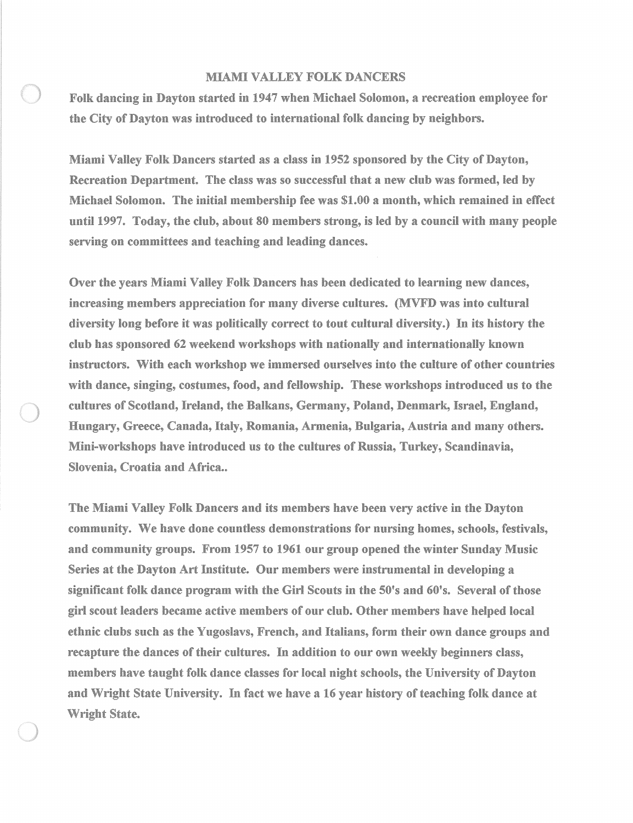## MIAMI VALLEY FOLK DANCERS

Folk dancing in Dayton started in 1947 when Michael Solomon, a recreation employee for the City of Dayton was introduced to international folk dancing by neighbors.

Miami Valley Folk Dancers started as a class in 1952 sponsored by the City of Dayton, Recreation Department. The class was so successful that a new club was formed, led by Michael Solomon. The initial membership fee was \$1.00 a month, which remained in effect until 1997. Today, the club, about 80 members strong, is led by a council with many people serving on committees and teaching and leading dances.

Over the years Miami Valley Folk Dancers has been dedicated to learning new dances, increasing members appreciation for many diverse cultures. (MVFD was into cultural diversity long before it was politically correct to tout cultural diversity.) In its history the club has sponsored 62 weekend workshops with nationally and internationally known instructors. With each workshop we immersed ourselves into the culture of other countries with dance, singing, costumes, food, and fellowship. These workshops introduced us to the cultures of Scotland, Ireland, the Balkans, Germany, Poland, Denmark, Israel, England, Hungary, Greece, Canada, Italy, Romania, Armenia, Bulgaria, Austria and many others. Mini-workshops have introduced us to the cultures of Russia, Turkey, Scandinavia, Slovenia, Croatia and Africa..

The Miami Valley Folk Dancers and its members have been very active in the Dayton community. We have done countless demonstrations for nursing homes, schools, festivals, and community groups. From 1957 to 1961 our group opened the winter Sunday Music Series at the Dayton Art Institute. Our members were instrumental in developing a significant folk dance program with the Girl Scouts in the 50's and 60's. Several of those girl scout leaders became active members of our club. Other members have helped local ethnic clubs such as the Yugoslavs, French, and Italians, form their own dance groups and recapture the dances of their cultures. In addition to our own weekly beginners class, members have taught folk dance classes for local night schools, the University of Dayton and Wright State University. In fact we have a 16 year history of teaching folk dance at Wright State.